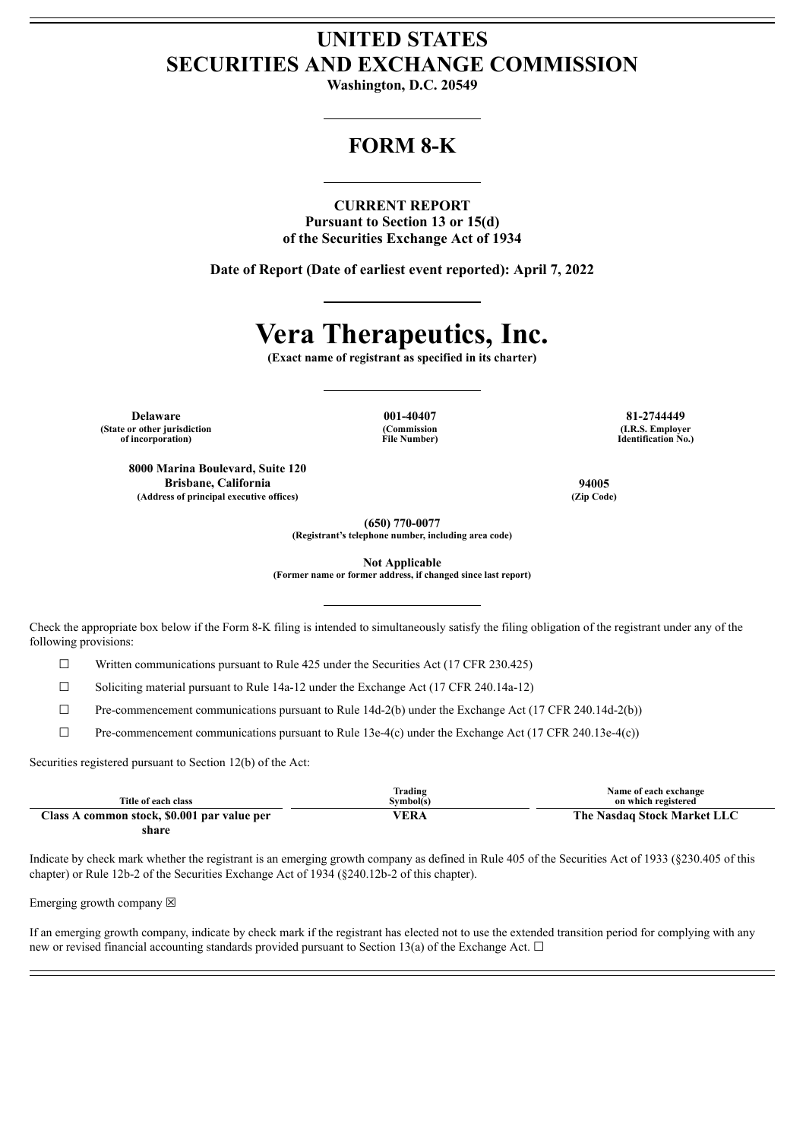## **UNITED STATES SECURITIES AND EXCHANGE COMMISSION**

**Washington, D.C. 20549**

### **FORM 8-K**

**CURRENT REPORT**

**Pursuant to Section 13 or 15(d) of the Securities Exchange Act of 1934**

**Date of Report (Date of earliest event reported): April 7, 2022**

# **Vera Therapeutics, Inc.**

**(Exact name of registrant as specified in its charter)**

**Delaware 001-40407 81-2744449 (State or other jurisdiction of incorporation)**

**(Commission File Number)**

**(I.R.S. Employer Identification No.)**

**8000 Marina Boulevard, Suite 120 Brisbane, California 94005 (Address of principal executive offices) (Zip Code)**

**(650) 770-0077**

**(Registrant's telephone number, including area code)**

**Not Applicable**

**(Former name or former address, if changed since last report)**

Check the appropriate box below if the Form 8-K filing is intended to simultaneously satisfy the filing obligation of the registrant under any of the following provisions:

 $\Box$  Written communications pursuant to Rule 425 under the Securities Act (17 CFR 230.425)

☐ Soliciting material pursuant to Rule 14a-12 under the Exchange Act (17 CFR 240.14a-12)

 $\Box$  Pre-commencement communications pursuant to Rule 14d-2(b) under the Exchange Act (17 CFR 240.14d-2(b))

 $\Box$  Pre-commencement communications pursuant to Rule 13e-4(c) under the Exchange Act (17 CFR 240.13e-4(c))

Securities registered pursuant to Section 12(b) of the Act:

|                                             | Trading          | Name of each exchange       |
|---------------------------------------------|------------------|-----------------------------|
| Title of each class                         | Svmbol(s)        | on which registered         |
| Class A common stock, \$0.001 par value per | <sup>v</sup> era | The Nasdaq Stock Market LLC |
| share                                       |                  |                             |

Indicate by check mark whether the registrant is an emerging growth company as defined in Rule 405 of the Securities Act of 1933 (§230.405 of this chapter) or Rule 12b-2 of the Securities Exchange Act of 1934 (§240.12b-2 of this chapter).

Emerging growth company  $\boxtimes$ 

If an emerging growth company, indicate by check mark if the registrant has elected not to use the extended transition period for complying with any new or revised financial accounting standards provided pursuant to Section 13(a) of the Exchange Act.  $\Box$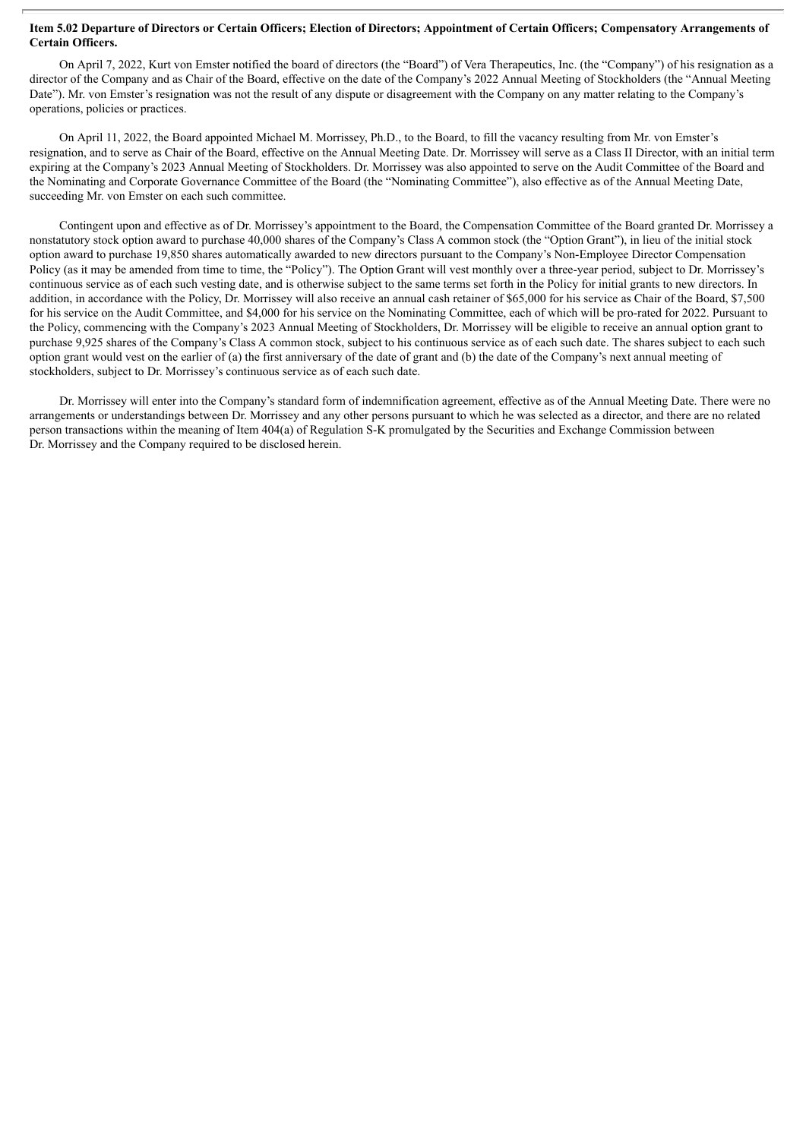#### Item 5.02 Departure of Directors or Certain Officers; Election of Directors; Appointment of Certain Officers; Compensatory Arrangements of **Certain Officers.**

On April 7, 2022, Kurt von Emster notified the board of directors (the "Board") of Vera Therapeutics, Inc. (the "Company") of his resignation as a director of the Company and as Chair of the Board, effective on the date of the Company's 2022 Annual Meeting of Stockholders (the "Annual Meeting Date"). Mr. von Emster's resignation was not the result of any dispute or disagreement with the Company on any matter relating to the Company's operations, policies or practices.

On April 11, 2022, the Board appointed Michael M. Morrissey, Ph.D., to the Board, to fill the vacancy resulting from Mr. von Emster's resignation, and to serve as Chair of the Board, effective on the Annual Meeting Date. Dr. Morrissey will serve as a Class II Director, with an initial term expiring at the Company's 2023 Annual Meeting of Stockholders. Dr. Morrissey was also appointed to serve on the Audit Committee of the Board and the Nominating and Corporate Governance Committee of the Board (the "Nominating Committee"), also effective as of the Annual Meeting Date, succeeding Mr. von Emster on each such committee.

Contingent upon and effective as of Dr. Morrissey's appointment to the Board, the Compensation Committee of the Board granted Dr. Morrissey a nonstatutory stock option award to purchase 40,000 shares of the Company's Class A common stock (the "Option Grant"), in lieu of the initial stock option award to purchase 19,850 shares automatically awarded to new directors pursuant to the Company's Non-Employee Director Compensation Policy (as it may be amended from time to time, the "Policy"). The Option Grant will vest monthly over a three-year period, subject to Dr. Morrissey's continuous service as of each such vesting date, and is otherwise subject to the same terms set forth in the Policy for initial grants to new directors. In addition, in accordance with the Policy, Dr. Morrissey will also receive an annual cash retainer of \$65,000 for his service as Chair of the Board, \$7,500 for his service on the Audit Committee, and \$4,000 for his service on the Nominating Committee, each of which will be pro-rated for 2022. Pursuant to the Policy, commencing with the Company's 2023 Annual Meeting of Stockholders, Dr. Morrissey will be eligible to receive an annual option grant to purchase 9,925 shares of the Company's Class A common stock, subject to his continuous service as of each such date. The shares subject to each such option grant would vest on the earlier of (a) the first anniversary of the date of grant and (b) the date of the Company's next annual meeting of stockholders, subject to Dr. Morrissey's continuous service as of each such date.

Dr. Morrissey will enter into the Company's standard form of indemnification agreement, effective as of the Annual Meeting Date. There were no arrangements or understandings between Dr. Morrissey and any other persons pursuant to which he was selected as a director, and there are no related person transactions within the meaning of Item 404(a) of Regulation S-K promulgated by the Securities and Exchange Commission between Dr. Morrissey and the Company required to be disclosed herein.